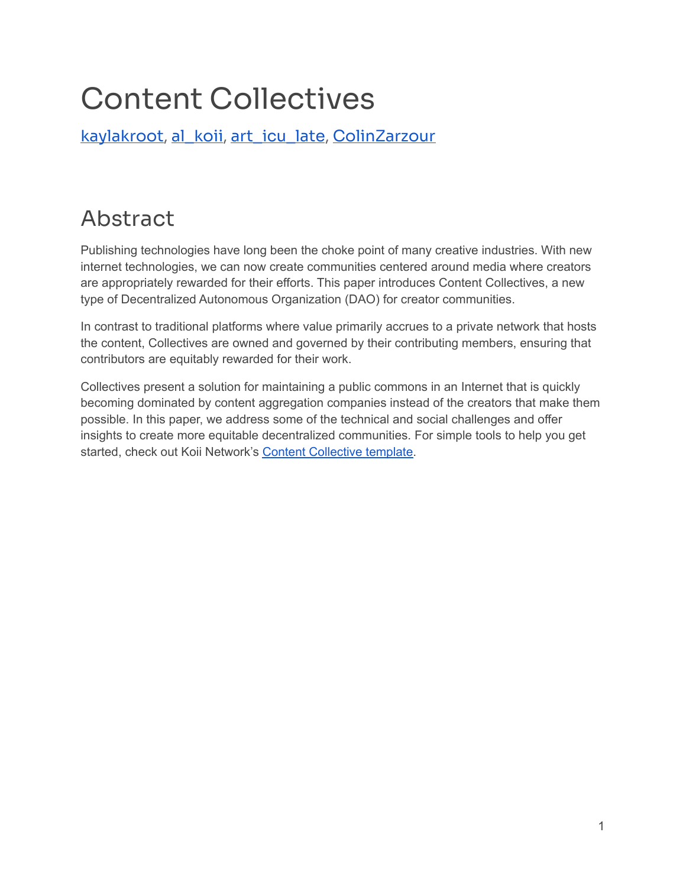# Content Collectives

[kaylakroot](https://twitter.com/kaylakroot), [al\\_koii](https://twitter.com/al_koii), [art\\_icu\\_late](https://twitter.com/art_icu_late), [ColinZarzour](https://twitter.com/ColinZarzour)

# <span id="page-0-0"></span>Abstract

Publishing technologies have long been the choke point of many creative industries. With new internet technologies, we can now create communities centered around media where creators are appropriately rewarded for their efforts. This paper introduces Content Collectives, a new type of Decentralized Autonomous Organization (DAO) for creator communities.

In contrast to traditional platforms where value primarily accrues to a private network that hosts the content, Collectives are owned and governed by their contributing members, ensuring that contributors are equitably rewarded for their work.

Collectives present a solution for maintaining a public commons in an Internet that is quickly becoming dominated by content aggregation companies instead of the creators that make them possible. In this paper, we address some of the technical and social challenges and offer insights to create more equitable decentralized communities. For simple tools to help you get started, check out Koii Network's Content [Collective](https://koii.me/contentcollective) template.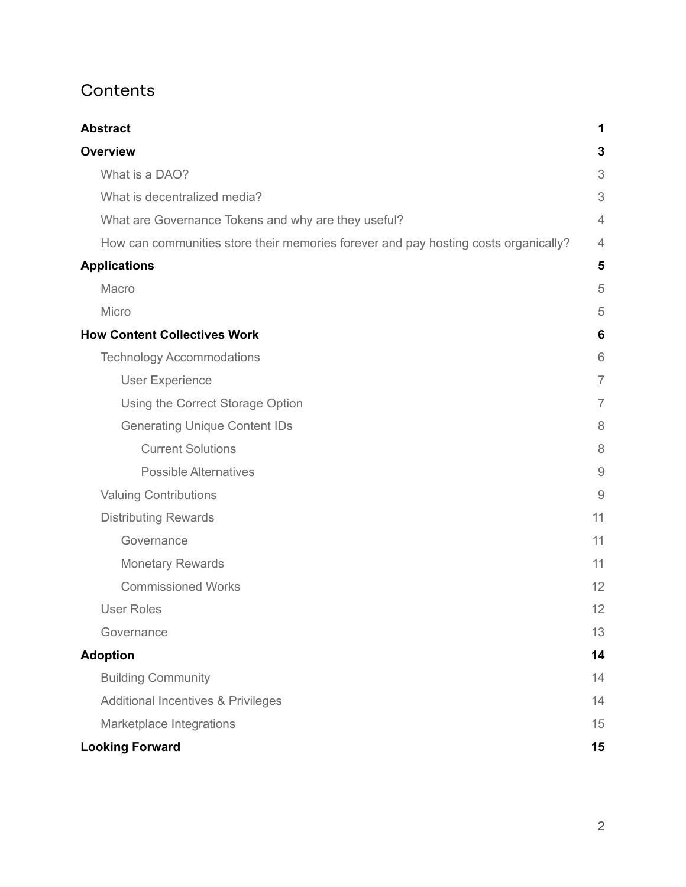## **Contents**

| <b>Abstract</b>                                                                     | 1              |
|-------------------------------------------------------------------------------------|----------------|
| <b>Overview</b>                                                                     | 3              |
| What is a DAO?                                                                      | 3              |
| What is decentralized media?                                                        | 3              |
| What are Governance Tokens and why are they useful?                                 | 4              |
| How can communities store their memories forever and pay hosting costs organically? | $\overline{4}$ |
| <b>Applications</b>                                                                 | 5              |
| Macro                                                                               | 5              |
| Micro                                                                               | 5              |
| <b>How Content Collectives Work</b>                                                 | 6              |
| <b>Technology Accommodations</b>                                                    | 6              |
| <b>User Experience</b>                                                              | $\overline{7}$ |
| Using the Correct Storage Option                                                    | $\overline{7}$ |
| <b>Generating Unique Content IDs</b>                                                | 8              |
| <b>Current Solutions</b>                                                            | 8              |
| <b>Possible Alternatives</b>                                                        | $\overline{9}$ |
| <b>Valuing Contributions</b>                                                        | $\overline{9}$ |
| <b>Distributing Rewards</b>                                                         | 11             |
| Governance                                                                          | 11             |
| <b>Monetary Rewards</b>                                                             | 11             |
| <b>Commissioned Works</b>                                                           | 12             |
| <b>User Roles</b>                                                                   | 12             |
| Governance                                                                          | 13             |
| <b>Adoption</b>                                                                     | 14             |
| <b>Building Community</b>                                                           | 14             |
| <b>Additional Incentives &amp; Privileges</b>                                       | 14             |
| Marketplace Integrations                                                            | 15             |
| <b>Looking Forward</b>                                                              | 15             |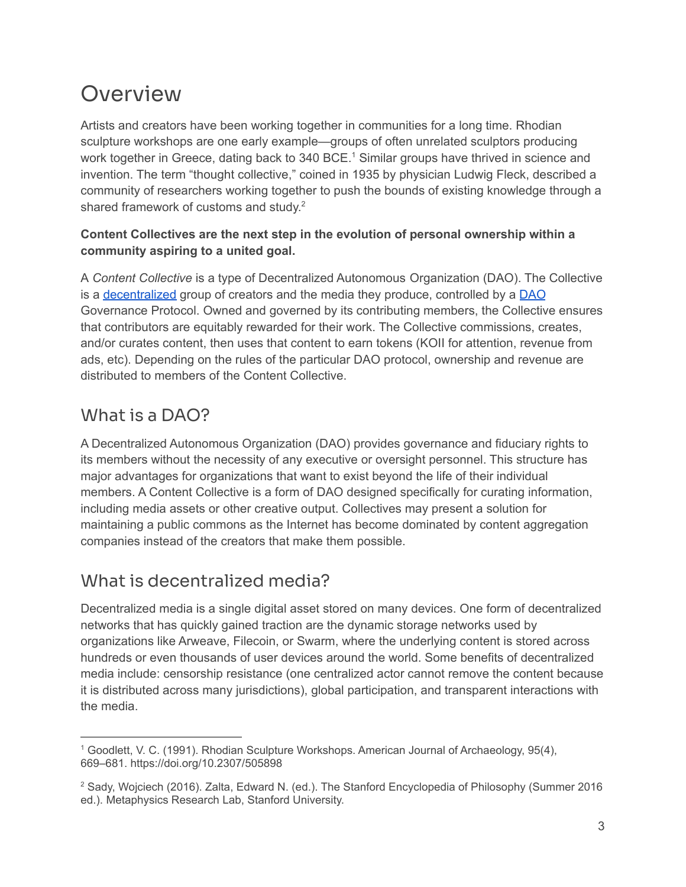# <span id="page-2-0"></span>**Overview**

Artists and creators have been working together in communities for a long time. Rhodian sculpture workshops are one early example—groups of often unrelated sculptors producing work together in Greece, dating back to 340 BCE.<sup>1</sup> Similar groups have thrived in science and invention. The term "thought collective," coined in 1935 by physician Ludwig Fleck, described a community of researchers working together to push the bounds of existing knowledge through a shared framework of customs and study.<sup>2</sup>

### **Content Collectives are the next step in the evolution of personal ownership within a community aspiring to a united goal.**

A *Content Collective* is a type of Decentralized Autonomous Organization (DAO). The Collective is a [decentralized](https://en.wikipedia.org/wiki/Decentralization) group of creators and the media they produce, controlled by a [DAO](#page-2-1) Governance Protocol. Owned and governed by its contributing members, the Collective ensures that contributors are equitably rewarded for their work. The Collective commissions, creates, and/or curates content, then uses that content to earn tokens (KOII for attention, revenue from ads, etc). Depending on the rules of the particular DAO protocol, ownership and revenue are distributed to members of the Content Collective.

# <span id="page-2-1"></span>What is a DAO?

A Decentralized Autonomous Organization (DAO) provides governance and fiduciary rights to its members without the necessity of any executive or oversight personnel. This structure has major advantages for organizations that want to exist beyond the life of their individual members. A Content Collective is a form of DAO designed specifically for curating information, including media assets or other creative output. Collectives may present a solution for maintaining a public commons as the Internet has become dominated by content aggregation companies instead of the creators that make them possible.

# <span id="page-2-2"></span>What is decentralized media?

Decentralized media is a single digital asset stored on many devices. One form of decentralized networks that has quickly gained traction are the dynamic storage networks used by organizations like Arweave, Filecoin, or Swarm, where the underlying content is stored across hundreds or even thousands of user devices around the world. Some benefits of decentralized media include: censorship resistance (one centralized actor cannot remove the content because it is distributed across many jurisdictions), global participation, and transparent interactions with the media.

<sup>1</sup> Goodlett, V. C. (1991). Rhodian Sculpture Workshops. American Journal of Archaeology, 95(4), 669–681. https://doi.org/10.2307/505898

<sup>2</sup> Sady, Wojciech (2016). Zalta, Edward N. (ed.). The Stanford Encyclopedia of Philosophy (Summer 2016 ed.). Metaphysics Research Lab, Stanford University.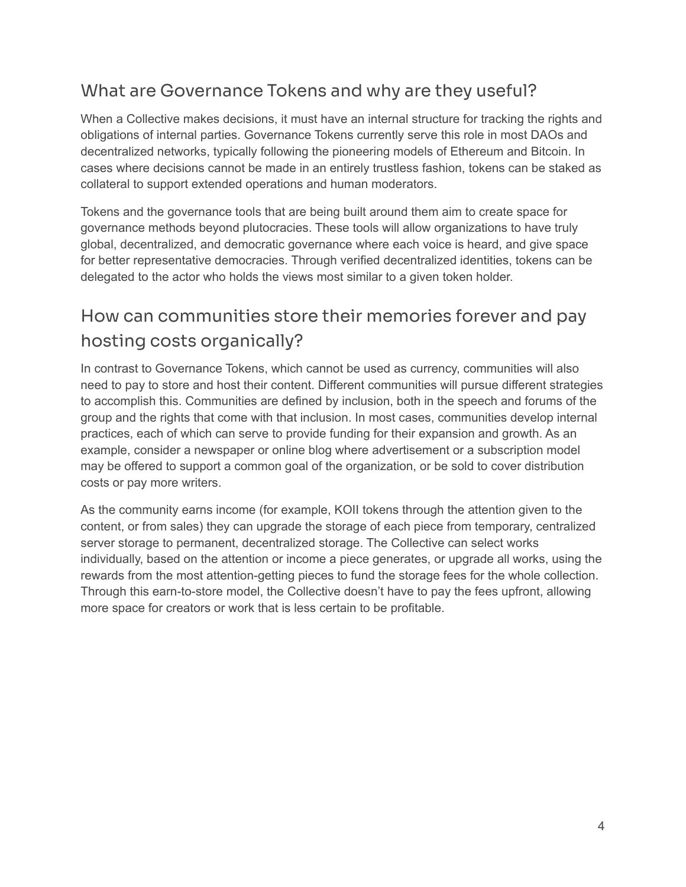## <span id="page-3-0"></span>What are Governance Tokens and why are they useful?

When a Collective makes decisions, it must have an internal structure for tracking the rights and obligations of internal parties. Governance Tokens currently serve this role in most DAOs and decentralized networks, typically following the pioneering models of Ethereum and Bitcoin. In cases where decisions cannot be made in an entirely trustless fashion, tokens can be staked as collateral to support extended operations and human moderators.

Tokens and the governance tools that are being built around them aim to create space for governance methods beyond plutocracies. These tools will allow organizations to have truly global, decentralized, and democratic governance where each voice is heard, and give space for better representative democracies. Through verified decentralized identities, tokens can be delegated to the actor who holds the views most similar to a given token holder.

# <span id="page-3-1"></span>How can communities store their memories forever and pay hosting costs organically?

In contrast to Governance Tokens, which cannot be used as currency, communities will also need to pay to store and host their content. Different communities will pursue different strategies to accomplish this. Communities are defined by inclusion, both in the speech and forums of the group and the rights that come with that inclusion. In most cases, communities develop internal practices, each of which can serve to provide funding for their expansion and growth. As an example, consider a newspaper or online blog where advertisement or a subscription model may be offered to support a common goal of the organization, or be sold to cover distribution costs or pay more writers.

As the community earns income (for example, KOII tokens through the attention given to the content, or from sales) they can upgrade the storage of each piece from temporary, centralized server storage to permanent, decentralized storage. The Collective can select works individually, based on the attention or income a piece generates, or upgrade all works, using the rewards from the most attention-getting pieces to fund the storage fees for the whole collection. Through this earn-to-store model, the Collective doesn't have to pay the fees upfront, allowing more space for creators or work that is less certain to be profitable.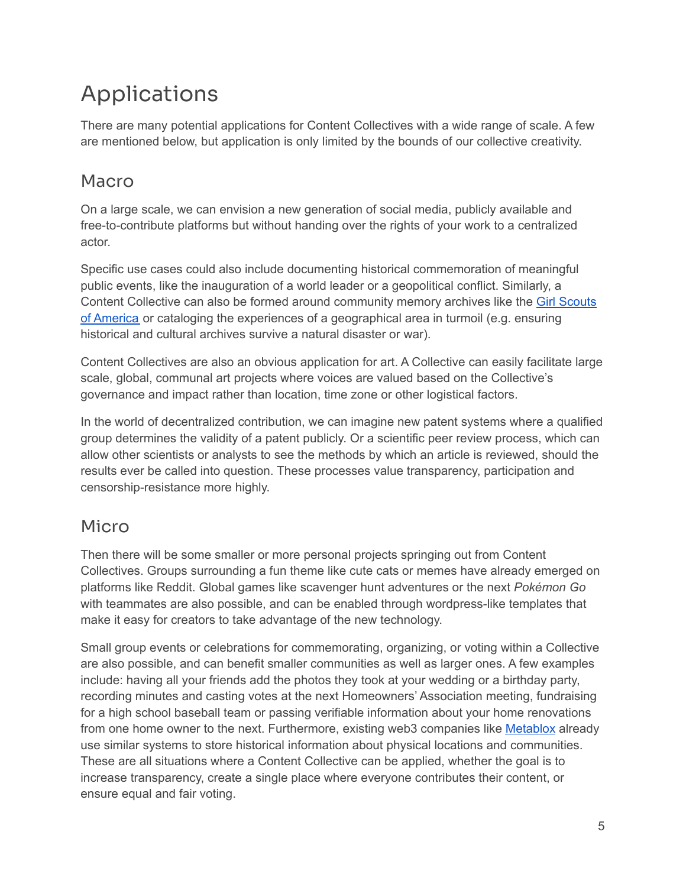# <span id="page-4-0"></span>Applications

There are many potential applications for Content Collectives with a wide range of scale. A few are mentioned below, but application is only limited by the bounds of our collective creativity.

# <span id="page-4-1"></span>Macro

On a large scale, we can envision a new generation of social media, publicly available and free-to-contribute platforms but without handing over the rights of your work to a centralized actor.

Specific use cases could also include documenting historical commemoration of meaningful public events, like the inauguration of a world leader or a geopolitical conflict. Similarly, a Content Collective can also be formed around community memory archives like the Girl [Scouts](https://www.girlscouts.org/) of [America](https://www.girlscouts.org/) or cataloging the experiences of a geographical area in turmoil (e.g. ensuring historical and cultural archives survive a natural disaster or war).

Content Collectives are also an obvious application for art. A Collective can easily facilitate large scale, global, communal art projects where voices are valued based on the Collective's governance and impact rather than location, time zone or other logistical factors.

In the world of decentralized contribution, we can imagine new patent systems where a qualified group determines the validity of a patent publicly. Or a scientific peer review process, which can allow other scientists or analysts to see the methods by which an article is reviewed, should the results ever be called into question. These processes value transparency, participation and censorship-resistance more highly.

## <span id="page-4-2"></span>Micro

Then there will be some smaller or more personal projects springing out from Content Collectives. Groups surrounding a fun theme like cute cats or memes have already emerged on platforms like Reddit. Global games like scavenger hunt adventures or the next *Pokémon Go* with teammates are also possible, and can be enabled through wordpress-like templates that make it easy for creators to take advantage of the new technology.

Small group events or celebrations for commemorating, organizing, or voting within a Collective are also possible, and can benefit smaller communities as well as larger ones. A few examples include: having all your friends add the photos they took at your wedding or a birthday party, recording minutes and casting votes at the next Homeowners' Association meeting, fundraising for a high school baseball team or passing verifiable information about your home renovations from one home owner to the next. Furthermore, existing web3 companies like [Metablox](https://metablox.co/) already use similar systems to store historical information about physical locations and communities. These are all situations where a Content Collective can be applied, whether the goal is to increase transparency, create a single place where everyone contributes their content, or ensure equal and fair voting.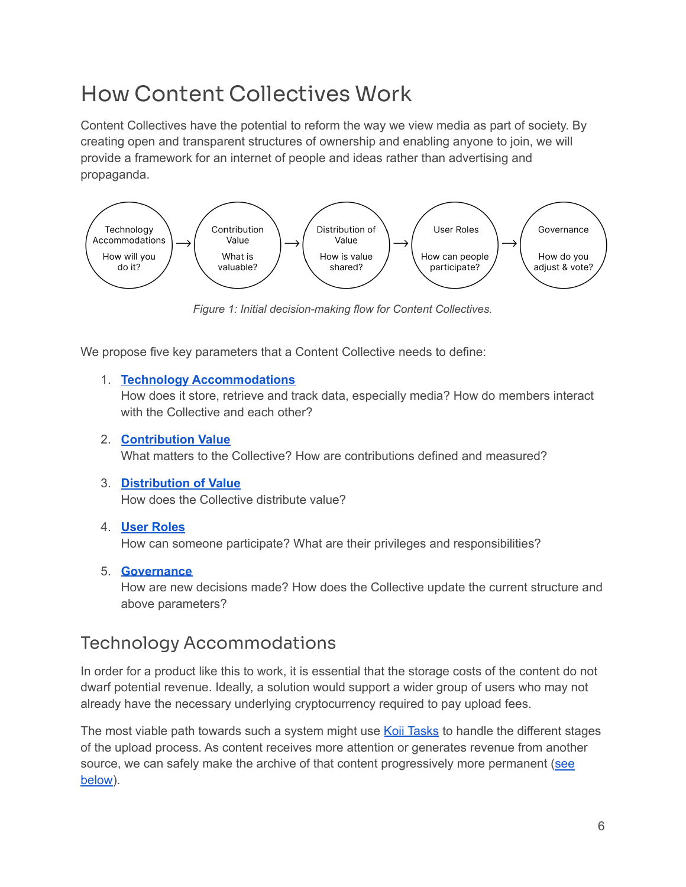# <span id="page-5-0"></span>How Content Collectives Work

Content Collectives have the potential to reform the way we view media as part of society. By creating open and transparent structures of ownership and enabling anyone to join, we will provide a framework for an internet of people and ideas rather than advertising and propaganda.



*Figure 1: Initial decision-making flow for Content Collectives.*

We propose five key parameters that a Content Collective needs to define:

#### 1. **Technology [Accommodations](#page-5-1)**

How does it store, retrieve and track data, especially media? How do members interact with the Collective and each other?

#### 2. **[Contribution](#page-8-1) Value**

What matters to the Collective? How are contributions defined and measured?

### 3. **[Distribution](#page-10-0) of Value**

How does the Collective distribute value?

#### 4. **User [Roles](#page-11-1)**

How can someone participate? What are their privileges and responsibilities?

### 5. **[Governance](#page-12-0)**

How are new decisions made? How does the Collective update the current structure and above parameters?

## <span id="page-5-1"></span>Technology Accommodations

In order for a product like this to work, it is essential that the storage costs of the content do not dwarf potential revenue. Ideally, a solution would support a wider group of users who may not already have the necessary underlying cryptocurrency required to pay upload fees.

The most viable path towards such a system might use Koii [Tasks](https://docs.koii.network/microservices/scaling-beyond-blockchain) to handle the different stages of the upload process. As content receives more attention or generates revenue from another source, we can safely make the archive of that content progressively more permanent [\(see](#page-6-1) [below\)](#page-6-1).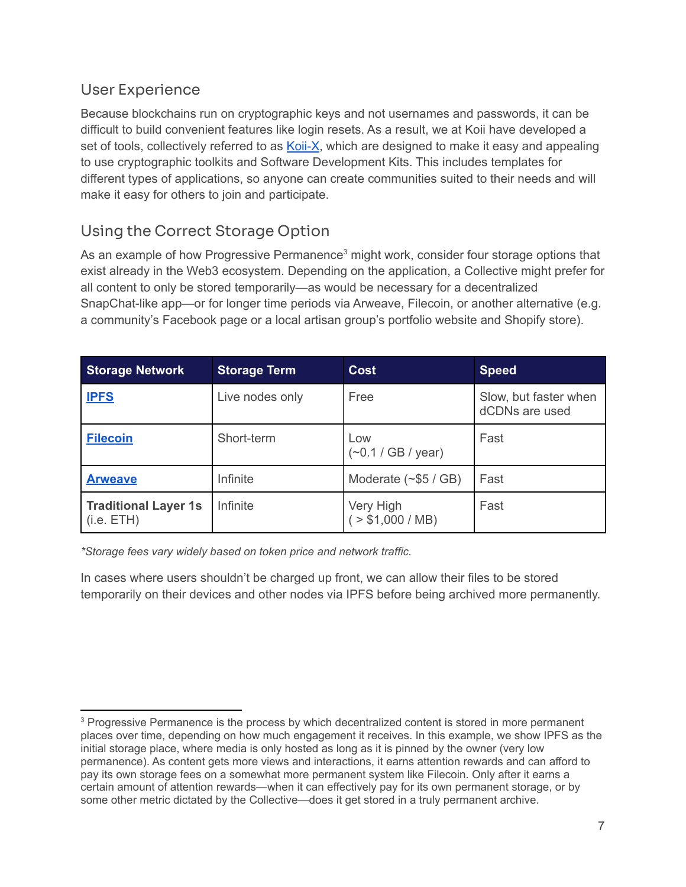### <span id="page-6-0"></span>User Experience

Because blockchains run on cryptographic keys and not usernames and passwords, it can be difficult to build convenient features like login resets. As a result, we at Koii have developed a set of tools, collectively referred to as [Koii-X](https://docs.koii.network/build-dapps-with-koii/welcome-to-koii-x), which are designed to make it easy and appealing to use cryptographic toolkits and Software Development Kits. This includes templates for different types of applications, so anyone can create communities suited to their needs and will make it easy for others to join and participate.

## <span id="page-6-1"></span>Using the Correct Storage Option

As an example of how Progressive Permanence<sup>3</sup> might work, consider four storage options that exist already in the Web3 ecosystem. Depending on the application, a Collective might prefer for all content to only be stored temporarily—as would be necessary for a decentralized SnapChat-like app—or for longer time periods via Arweave, Filecoin, or another alternative (e.g. a community's Facebook page or a local artisan group's portfolio website and Shopify store).

| <b>Storage Network</b>                    | <b>Storage Term</b> | <b>Cost</b>                 | <b>Speed</b>                            |
|-------------------------------------------|---------------------|-----------------------------|-----------------------------------------|
| <b>IPFS</b>                               | Live nodes only     | Free                        | Slow, but faster when<br>dCDNs are used |
| <b>Filecoin</b>                           | Short-term          | Low<br>$(-0.1 / GB / year)$ | Fast                                    |
| <b>Arweave</b>                            | Infinite            | Moderate $(\sim$ \$5 / GB)  | Fast                                    |
| <b>Traditional Layer 1s</b><br>(i.e. ETH) | Infinite            | Very High<br>> \$1,000 / MB | Fast                                    |

*\*Storage fees vary widely based on token price and network traffic.*

In cases where users shouldn't be charged up front, we can allow their files to be stored temporarily on their devices and other nodes via IPFS before being archived more permanently.

<sup>&</sup>lt;sup>3</sup> Progressive Permanence is the process by which decentralized content is stored in more permanent places over time, depending on how much engagement it receives. In this example, we show IPFS as the initial storage place, where media is only hosted as long as it is pinned by the owner (very low permanence). As content gets more views and interactions, it earns attention rewards and can afford to pay its own storage fees on a somewhat more permanent system like Filecoin. Only after it earns a certain amount of attention rewards—when it can effectively pay for its own permanent storage, or by some other metric dictated by the Collective—does it get stored in a truly permanent archive.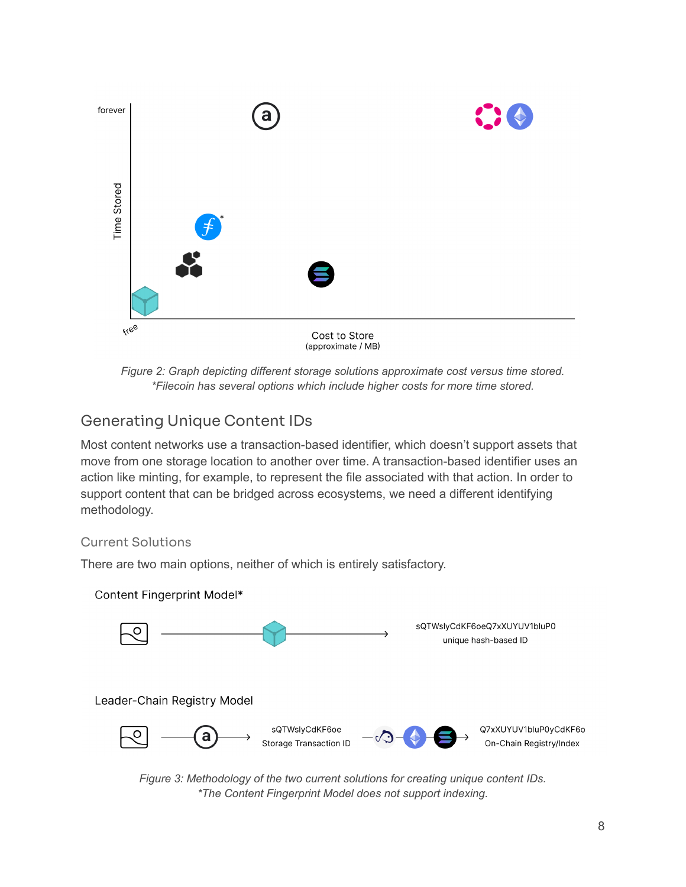

*Figure 2: Graph depicting different storage solutions approximate cost versus time stored. \*Filecoin has several options which include higher costs for more time stored.*

## <span id="page-7-0"></span>Generating Unique Content IDs

Most content networks use a transaction-based identifier, which doesn't support assets that move from one storage location to another over time. A transaction-based identifier uses an action like minting, for example, to represent the file associated with that action. In order to support content that can be bridged across ecosystems, we need a different identifying methodology.

### <span id="page-7-1"></span>Current Solutions

There are two main options, neither of which is entirely satisfactory.



*Figure 3: Methodology of the two current solutions for creating unique content IDs. \*The Content Fingerprint Model does not support indexing.*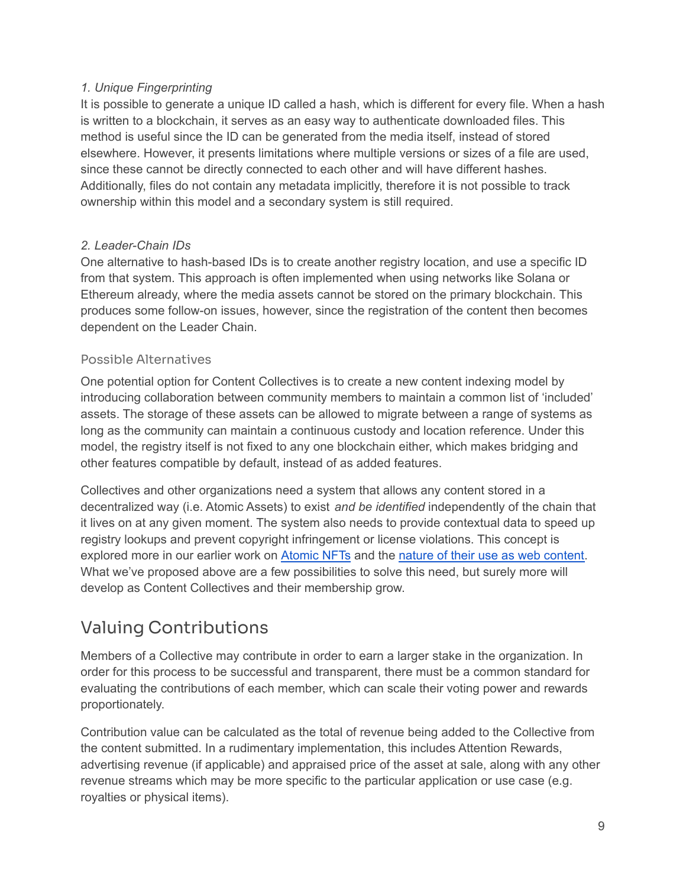#### *1. Unique Fingerprinting*

It is possible to generate a unique ID called a hash, which is different for every file. When a hash is written to a blockchain, it serves as an easy way to authenticate downloaded files. This method is useful since the ID can be generated from the media itself, instead of stored elsewhere. However, it presents limitations where multiple versions or sizes of a file are used, since these cannot be directly connected to each other and will have different hashes. Additionally, files do not contain any metadata implicitly, therefore it is not possible to track ownership within this model and a secondary system is still required.

#### *2. Leader-Chain IDs*

One alternative to hash-based IDs is to create another registry location, and use a specific ID from that system. This approach is often implemented when using networks like Solana or Ethereum already, where the media assets cannot be stored on the primary blockchain. This produces some follow-on issues, however, since the registration of the content then becomes dependent on the Leader Chain.

#### <span id="page-8-0"></span>Possible Alternatives

One potential option for Content Collectives is to create a new content indexing model by introducing collaboration between community members to maintain a common list of 'included' assets. The storage of these assets can be allowed to migrate between a range of systems as long as the community can maintain a continuous custody and location reference. Under this model, the registry itself is not fixed to any one blockchain either, which makes bridging and other features compatible by default, instead of as added features.

Collectives and other organizations need a system that allows any content stored in a decentralized way (i.e. Atomic Assets) to exist *and be identified* independently of the chain that it lives on at any given moment. The system also needs to provide contextual data to speed up registry lookups and prevent copyright infringement or license violations. This concept is explored more in our earlier work on [Atomic](https://atomicnft.com/en/) NFTs and the nature of their use as web [content.](https://docs.koii.network/build-dapps-with-koii/using-nfts-as-content) What we've proposed above are a few possibilities to solve this need, but surely more will develop as Content Collectives and their membership grow.

# <span id="page-8-1"></span>Valuing Contributions

Members of a Collective may contribute in order to earn a larger stake in the organization. In order for this process to be successful and transparent, there must be a common standard for evaluating the contributions of each member, which can scale their voting power and rewards proportionately.

Contribution value can be calculated as the total of revenue being added to the Collective from the content submitted. In a rudimentary implementation, this includes Attention Rewards, advertising revenue (if applicable) and appraised price of the asset at sale, along with any other revenue streams which may be more specific to the particular application or use case (e.g. royalties or physical items).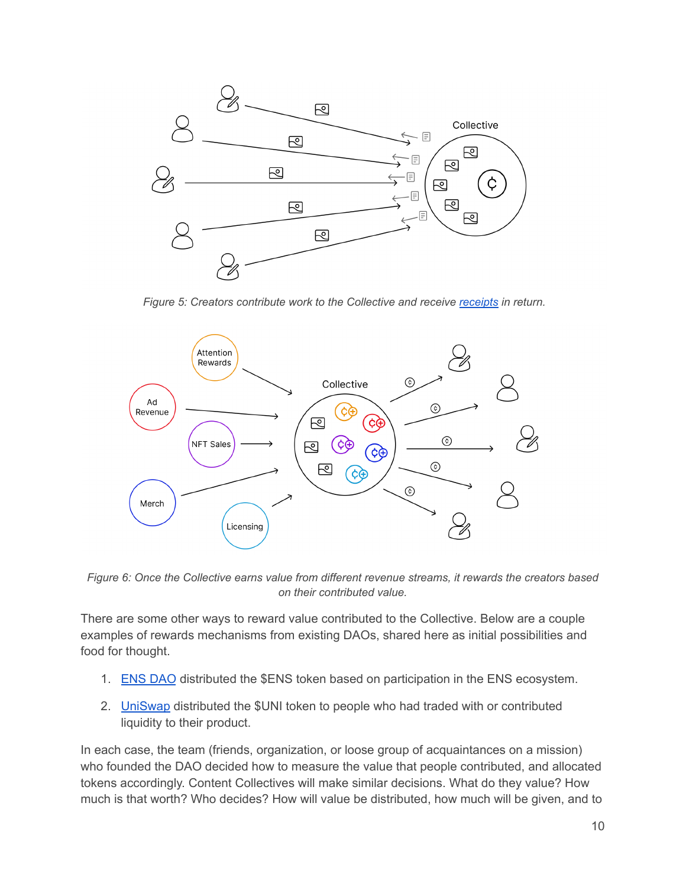

*Figure 5: Creators contribute work to the Collective and receive [receipts](#page-10-0) in return.*



*Figure 6: Once the Collective earns value from different revenue streams, it rewards the creators based on their contributed value.*

There are some other ways to reward value contributed to the Collective. Below are a couple examples of rewards mechanisms from existing DAOs, shared here as initial possibilities and food for thought.

- 1. ENS [DAO](https://ens.domains/) distributed the \$ENS token based on participation in the ENS ecosystem.
- 2. **[UniSwap](https://uniswap.org/) distributed the \$UNI token to people who had traded with or contributed** liquidity to their product.

In each case, the team (friends, organization, or loose group of acquaintances on a mission) who founded the DAO decided how to measure the value that people contributed, and allocated tokens accordingly. Content Collectives will make similar decisions. What do they value? How much is that worth? Who decides? How will value be distributed, how much will be given, and to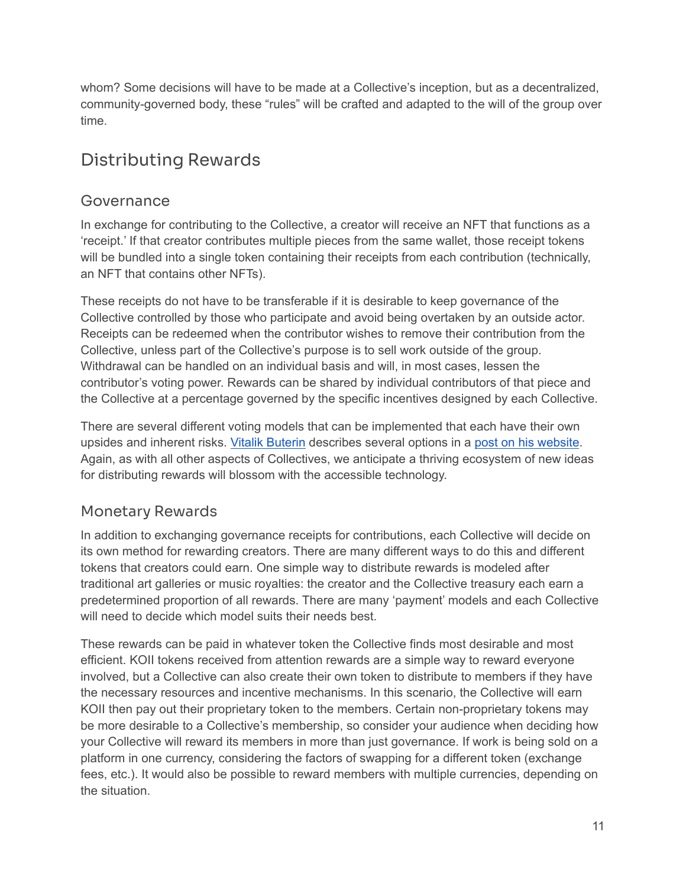whom? Some decisions will have to be made at a Collective's inception, but as a decentralized, community-governed body, these "rules" will be crafted and adapted to the will of the group over time.

# <span id="page-10-0"></span>Distributing Rewards

### <span id="page-10-1"></span>Governance

In exchange for contributing to the Collective, a creator will receive an NFT that functions as a 'receipt.' If that creator contributes multiple pieces from the same wallet, those receipt tokens will be bundled into a single token containing their receipts from each contribution (technically, an NFT that contains other NFTs).

These receipts do not have to be transferable if it is desirable to keep governance of the Collective controlled by those who participate and avoid being overtaken by an outside actor. Receipts can be redeemed when the contributor wishes to remove their contribution from the Collective, unless part of the Collective's purpose is to sell work outside of the group. Withdrawal can be handled on an individual basis and will, in most cases, lessen the contributor's voting power. Rewards can be shared by individual contributors of that piece and the Collective at a percentage governed by the specific incentives designed by each Collective.

There are several different voting models that can be implemented that each have their own upsides and inherent risks. Vitalik [Buterin](https://en.wikipedia.org/wiki/Vitalik_Buterin) describes several options in a post on his [website](https://vitalik.ca/general/2021/08/16/voting3.html). Again, as with all other aspects of Collectives, we anticipate a thriving ecosystem of new ideas for distributing rewards will blossom with the accessible technology.

### <span id="page-10-2"></span>Monetary Rewards

In addition to exchanging governance receipts for contributions, each Collective will decide on its own method for rewarding creators. There are many different ways to do this and different tokens that creators could earn. One simple way to distribute rewards is modeled after traditional art galleries or music royalties: the creator and the Collective treasury each earn a predetermined proportion of all rewards. There are many 'payment' models and each Collective will need to decide which model suits their needs best.

These rewards can be paid in whatever token the Collective finds most desirable and most efficient. KOII tokens received from attention rewards are a simple way to reward everyone involved, but a Collective can also create their own token to distribute to members if they have the necessary resources and incentive mechanisms. In this scenario, the Collective will earn KOII then pay out their proprietary token to the members. Certain non-proprietary tokens may be more desirable to a Collective's membership, so consider your audience when deciding how your Collective will reward its members in more than just governance. If work is being sold on a platform in one currency, considering the factors of swapping for a different token (exchange fees, etc.). It would also be possible to reward members with multiple currencies, depending on the situation.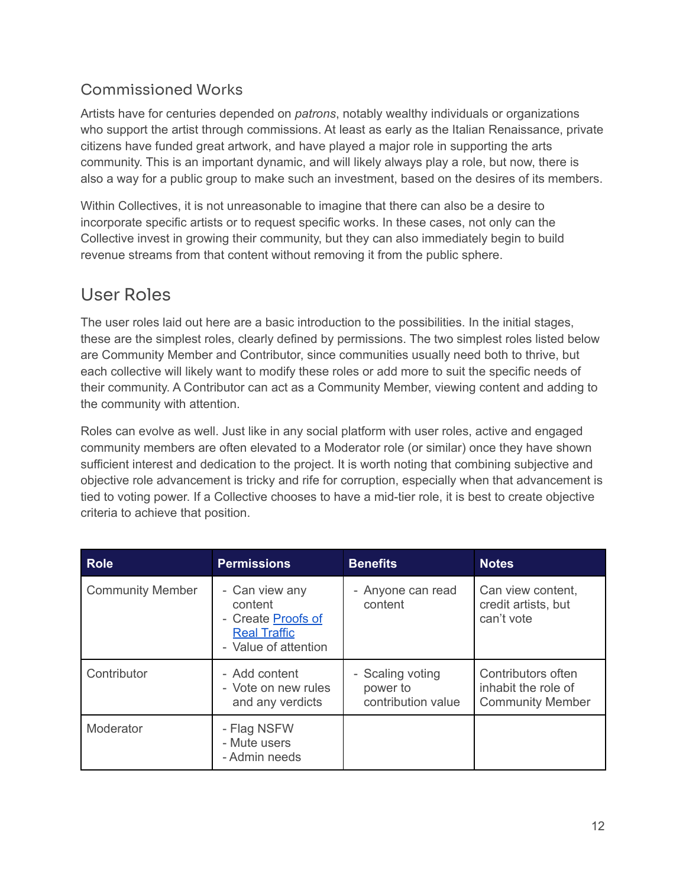### <span id="page-11-0"></span>Commissioned Works

Artists have for centuries depended on *patrons*, notably wealthy individuals or organizations who support the artist through commissions. At least as early as the Italian Renaissance, private citizens have funded great artwork, and have played a major role in supporting the arts community. This is an important dynamic, and will likely always play a role, but now, there is also a way for a public group to make such an investment, based on the desires of its members.

Within Collectives, it is not unreasonable to imagine that there can also be a desire to incorporate specific artists or to request specific works. In these cases, not only can the Collective invest in growing their community, but they can also immediately begin to build revenue streams from that content without removing it from the public sphere.

## <span id="page-11-1"></span>User Roles

The user roles laid out here are a basic introduction to the possibilities. In the initial stages, these are the simplest roles, clearly defined by permissions. The two simplest roles listed below are Community Member and Contributor, since communities usually need both to thrive, but each collective will likely want to modify these roles or add more to suit the specific needs of their community. A Contributor can act as a Community Member, viewing content and adding to the community with attention.

Roles can evolve as well. Just like in any social platform with user roles, active and engaged community members are often elevated to a Moderator role (or similar) once they have shown sufficient interest and dedication to the project. It is worth noting that combining subjective and objective role advancement is tricky and rife for corruption, especially when that advancement is tied to voting power. If a Collective chooses to have a mid-tier role, it is best to create objective criteria to achieve that position.

| <b>Role</b>             | <b>Permissions</b>                                                                             | <b>Benefits</b>                                    | <b>Notes</b>                                                         |
|-------------------------|------------------------------------------------------------------------------------------------|----------------------------------------------------|----------------------------------------------------------------------|
| <b>Community Member</b> | - Can view any<br>content<br>- Create Proofs of<br><b>Real Traffic</b><br>- Value of attention | - Anyone can read<br>content                       | Can view content,<br>credit artists, but<br>can't vote               |
| Contributor             | - Add content<br>- Vote on new rules<br>and any verdicts                                       | - Scaling voting<br>power to<br>contribution value | Contributors often<br>inhabit the role of<br><b>Community Member</b> |
| Moderator               | - Flag NSFW<br>- Mute users<br>- Admin needs                                                   |                                                    |                                                                      |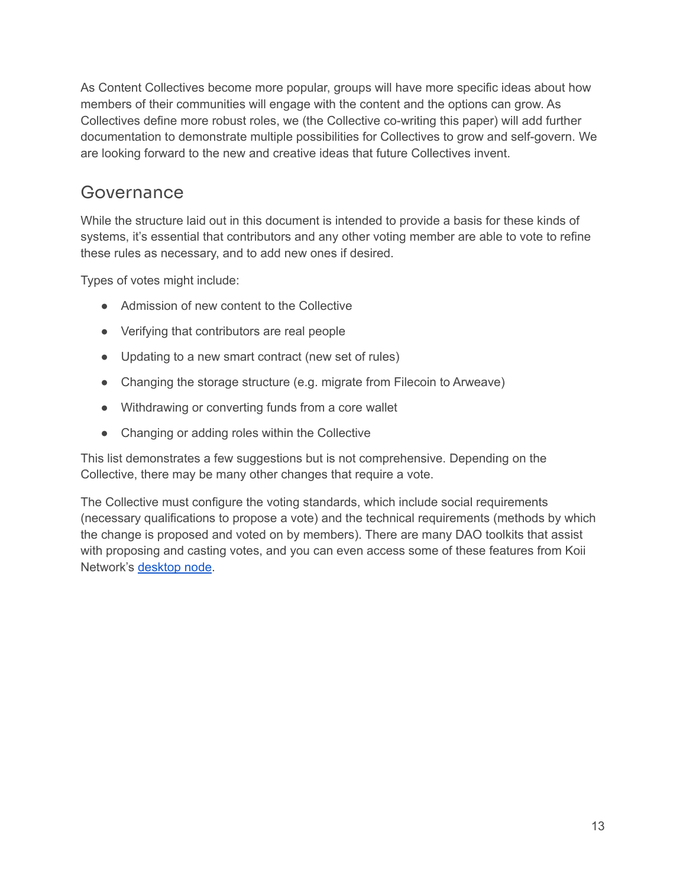As Content Collectives become more popular, groups will have more specific ideas about how members of their communities will engage with the content and the options can grow. As Collectives define more robust roles, we (the Collective co-writing this paper) will add further documentation to demonstrate multiple possibilities for Collectives to grow and self-govern. We are looking forward to the new and creative ideas that future Collectives invent.

### <span id="page-12-0"></span>Governance

While the structure laid out in this document is intended to provide a basis for these kinds of systems, it's essential that contributors and any other voting member are able to vote to refine these rules as necessary, and to add new ones if desired.

Types of votes might include:

- Admission of new content to the Collective
- Verifying that contributors are real people
- Updating to a new smart contract (new set of rules)
- Changing the storage structure (e.g. migrate from Filecoin to Arweave)
- Withdrawing or converting funds from a core wallet
- Changing or adding roles within the Collective

This list demonstrates a few suggestions but is not comprehensive. Depending on the Collective, there may be many other changes that require a vote.

The Collective must configure the voting standards, which include social requirements (necessary qualifications to propose a vote) and the technical requirements (methods by which the change is proposed and voted on by members). There are many DAO toolkits that assist with proposing and casting votes, and you can even access some of these features from Koii Network's [desktop](http://koii.me/node) node.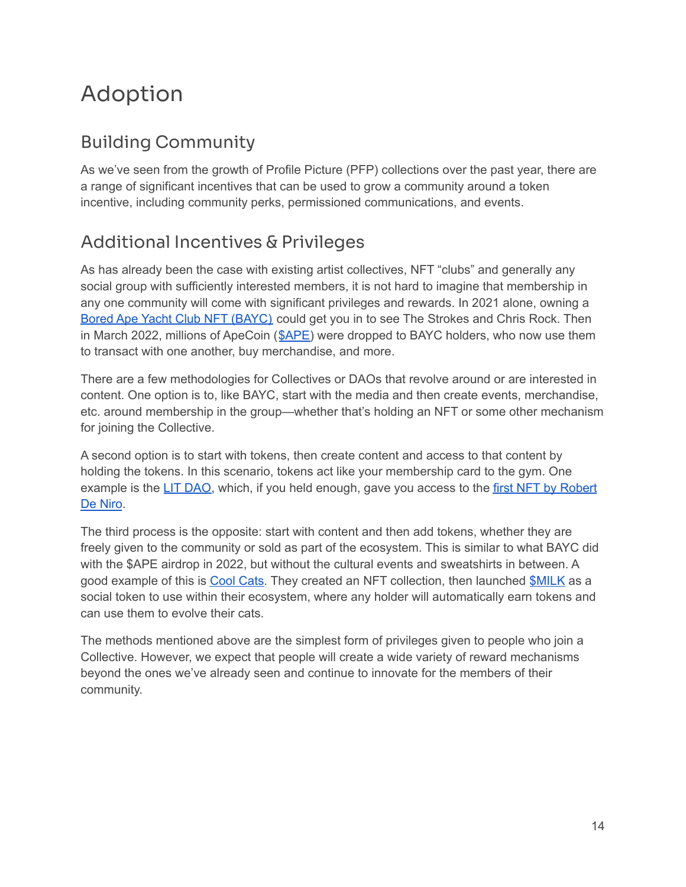# <span id="page-13-0"></span>Adoption

# <span id="page-13-1"></span>Building Community

As we've seen from the growth of Profile Picture (PFP) collections over the past year, there are a range of significant incentives that can be used to grow a community around a token incentive, including community perks, permissioned communications, and events.

# <span id="page-13-2"></span>Additional Incentives & Privileges

As has already been the case with existing artist collectives, NFT "clubs" and generally any social group with sufficiently interested members, it is not hard to imagine that membership in any one community will come with significant privileges and rewards. In 2021 alone, owning a Bored Ape Yacht Club NFT [\(BAYC\)](http://www.boredapeyachtclub.com) could get you in to see The Strokes and Chris Rock. Then in March 2022, millions of ApeCoin ([\\$APE\)](https://coinmarketcap.com/currencies/apecoin-ape/) were dropped to BAYC holders, who now use them to transact with one another, buy merchandise, and more.

There are a few methodologies for Collectives or DAOs that revolve around or are interested in content. One option is to, like BAYC, start with the media and then create events, merchandise, etc. around membership in the group—whether that's holding an NFT or some other mechanism for joining the Collective.

A second option is to start with tokens, then create content and access to that content by holding the tokens. In this scenario, tokens act like your membership card to the gym. One example is the LIT [DAO,](https://getlit.wtf/) which, if you held enough, gave you access to the first NFT by [Robert](https://www.cryptotimes.io/robert-de-niro-joins-lit-dao-with-motion-nft-collection/) De [Niro](https://www.cryptotimes.io/robert-de-niro-joins-lit-dao-with-motion-nft-collection/).

The third process is the opposite: start with content and then add tokens, whether they are freely given to the community or sold as part of the ecosystem. This is similar to what BAYC did with the \$APE airdrop in 2022, but without the cultural events and sweatshirts in between. A good example of this is Cool [Cats.](https://www.coolcatsnft.com/) They created an NFT collection, then launched [\\$MILK](https://www.coingecko.com/en/coins/milk) as a social token to use within their ecosystem, where any holder will automatically earn tokens and can use them to evolve their cats.

The methods mentioned above are the simplest form of privileges given to people who join a Collective. However, we expect that people will create a wide variety of reward mechanisms beyond the ones we've already seen and continue to innovate for the members of their community.